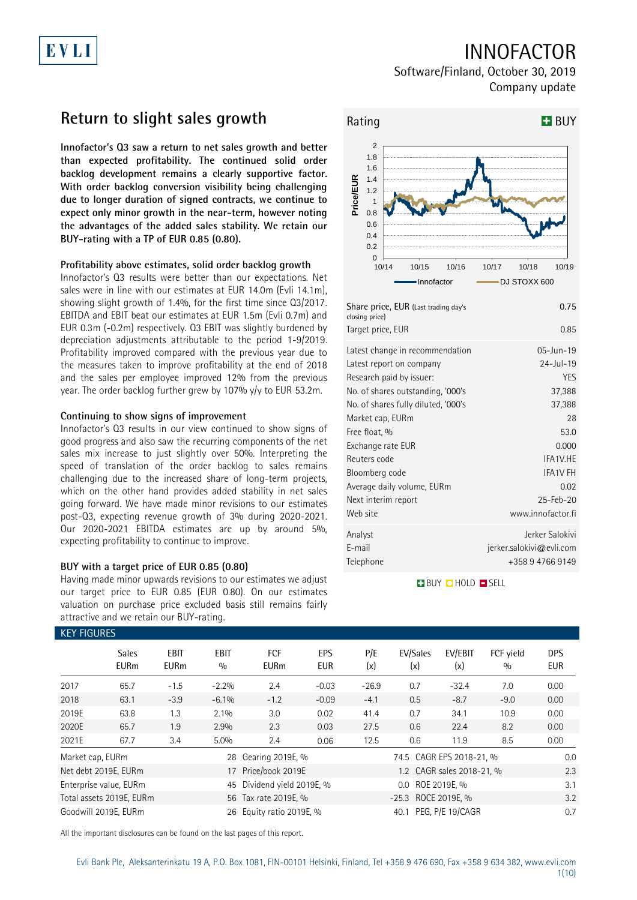# EVLI

## INNOFACTOR

Software/Finland, October 30, 2019 Company update

## **Return to slight sales growth**

**Innofactor's Q3 saw a return to net sales growth and better than expected profitability. The continued solid order backlog development remains a clearly supportive factor. With order backlog conversion visibility being challenging due to longer duration of signed contracts, we continue to expect only minor growth in the near-term, however noting the advantages of the added sales stability. We retain our BUY-rating with a TP of EUR 0.85 (0.80).**

### **Profitability above estimates, solid order backlog growth**

Innofactor's Q3 results were better than our expectations. Net sales were in line with our estimates at EUR 14.0m (Evli 14.1m), showing slight growth of 1.4%, for the first time since Q3/2017. EBITDA and EBIT beat our estimates at EUR 1.5m (Evli 0.7m) and EUR 0.3m (-0.2m) respectively. Q3 EBIT was slightly burdened by depreciation adjustments attributable to the period 1-9/2019. Profitability improved compared with the previous year due to the measures taken to improve profitability at the end of 2018 and the sales per employee improved 12% from the previous year. The order backlog further grew by 107% y/y to EUR 53.2m.

### **Continuing to show signs of improvement**

Innofactor's Q3 results in our view continued to show signs of good progress and also saw the recurring components of the net sales mix increase to just slightly over 50%. Interpreting the speed of translation of the order backlog to sales remains challenging due to the increased share of long-term projects, which on the other hand provides added stability in net sales going forward. We have made minor revisions to our estimates post-Q3, expecting revenue growth of 3% during 2020-2021. Our 2020-2021 EBITDA estimates are up by around 5%, expecting profitability to continue to improve.

### **BUY with a target price of EUR 0.85 (0.80)**

Having made minor upwards revisions to our estimates we adjust our target price to EUR 0.85 (EUR 0.80). On our estimates valuation on purchase price excluded basis still remains fairly attractive and we retain our BUY-rating.



| Share price, EUR (Last trading day's<br>closing price) | 0.75                     |
|--------------------------------------------------------|--------------------------|
| Target price, EUR                                      | 0.85                     |
| Latest change in recommendation                        | 05-Jun-19                |
| Latest report on company                               | $24$ -Jul-19             |
| Research paid by issuer:                               | <b>YES</b>               |
| No. of shares outstanding, '000's                      | 37,388                   |
| No. of shares fully diluted, '000's                    | 37,388                   |
| Market cap, EURm                                       | 28                       |
| Free float, %                                          | 53.0                     |
| Exchange rate EUR                                      | 0.000                    |
| Reuters code                                           | IFA1V.HE                 |
| Bloomberg code                                         | <b>IFA1V FH</b>          |
| Average daily volume, EURm                             | 0.02                     |
| Next interim report                                    | 25-Feb-20                |
| Web site                                               | www.innofactor.fi        |
| Analyst                                                | Jerker Salokivi          |
| E-mail                                                 | jerker.salokivi@evli.com |
| Telephone                                              | +358 9 4766 9149         |

**BUY QHOLD SELL** 

| <b>KEY FIGURES</b> |                             |                     |             |                            |                   |                       |                          |                           |                  |                          |
|--------------------|-----------------------------|---------------------|-------------|----------------------------|-------------------|-----------------------|--------------------------|---------------------------|------------------|--------------------------|
|                    | <b>Sales</b><br><b>EURm</b> | EBIT<br><b>EURm</b> | EBIT<br>0/0 | <b>FCF</b><br><b>EURm</b>  | EPS<br><b>EUR</b> | P/E<br>(x)            | EV/Sales<br>(x)          | EV/EBIT<br>(x)            | FCF yield<br>0/0 | <b>DPS</b><br><b>EUR</b> |
| 2017               | 65.7                        | $-1.5$              | $-2.2%$     | 2.4                        | $-0.03$           | $-26.9$               | 0.7                      | $-32.4$                   | 7.0              | 0.00                     |
| 2018               | 63.1                        | $-3.9$              | $-6.1%$     | $-1.2$                     | $-0.09$           | $-4.1$                | 0.5                      | $-8.7$                    | $-9.0$           | 0.00                     |
| 2019E              | 63.8                        | 1.3                 | 2.1%        | 3.0                        | 0.02              | 41.4                  | 0.7                      | 34.1                      | 10.9             | 0.00                     |
| 2020E              | 65.7                        | 1.9                 | 2.9%        | 2.3                        | 0.03              | 27.5                  | 0.6                      | 22.4                      | 8.2              | 0.00                     |
| 2021E              | 67.7                        | 3.4                 | 5.0%        | 2.4                        | 0.06              | 12.5                  | 0.6                      | 11.9                      | 8.5              | 0.00                     |
| Market cap, EURm   |                             |                     | 28          | Gearing 2019E, %           |                   |                       | 74.5 CAGR EPS 2018-21, % |                           |                  | 0.0                      |
|                    | Net debt 2019E, EURm        |                     |             | 17 Price/book 2019E        |                   |                       |                          | 1.2 CAGR sales 2018-21, % |                  | 2.3                      |
|                    | Enterprise value, EURm      |                     |             | 45 Dividend yield 2019E, % |                   |                       | 0.0 ROE 2019E. %         |                           |                  | 3.1                      |
|                    | Total assets 2019E, EURm    |                     |             | 56 Tax rate 2019E, %       |                   | -25.3 ROCE 2019E, %   |                          |                           |                  | 3.2                      |
|                    | Goodwill 2019E, EURm        |                     |             | 26 Equity ratio 2019E, %   |                   | 40.1 PEG, P/E 19/CAGR |                          |                           |                  | 0.7                      |

All the important disclosures can be found on the last pages of this report.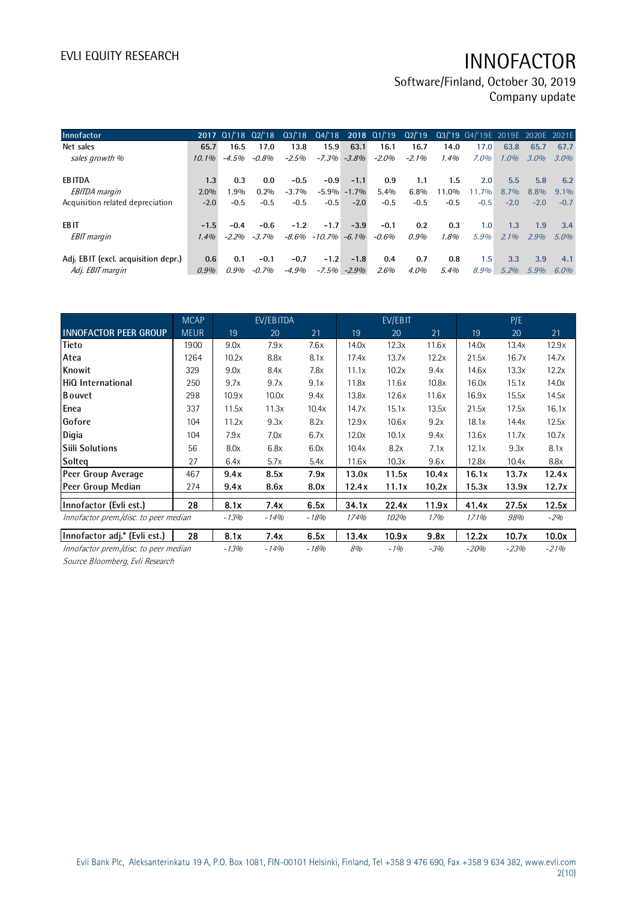Software/Finland, October 30, 2019 Company update

| Innofactor                          |          | 2017 01/18 02/18 |         | $Q_3/18$ |                         |                 | Q4/'18 2018 Q1/'19 |          |        | Q2/'19 Q3/'19 Q4/'19E 2019E 2020E 2021E |                  |         |         |
|-------------------------------------|----------|------------------|---------|----------|-------------------------|-----------------|--------------------|----------|--------|-----------------------------------------|------------------|---------|---------|
| Net sales                           | 65.7     | 16.5             | 17.0    | 13.8     | 15.9                    | 63.1            | 16.1               | 16.7     | 14.0   | 17.0                                    | 63.8             | 65.7    | 67.7    |
| sales growth %                      | $10.1\%$ | $-4.5%$          | -0.8%   | $-2.5%$  |                         | $-7.3\% -3.8\%$ | $-2.0\%$           | $-2.1\%$ | 1.4%   | 7.0%                                    | $1.0\%$          | $3.0\%$ | $3.0\%$ |
|                                     |          |                  |         |          |                         |                 |                    |          |        |                                         |                  |         |         |
| <b>EBITDA</b>                       | 1.3      | 0.3              | 0.0     | $-0.5$   | $-0.9$                  | $-1.1$          | 0.9                | 1.1      | 1.5    | 2.0                                     | 5.5              | 5.8     | 6.2     |
| <b>EBITDA</b> margin                | $2.0\%$  | $.9\%$           | $0.2\%$ | $-3.7\%$ |                         | $-5.9\% -1.7\%$ | 5.4%               | $6.8\%$  | 11.0%  | 11.7%                                   | $8.7\%$          | $8.8\%$ | $9.1\%$ |
| Acquisition related depreciation    | $-2.0$   | $-0.5$           | $-0.5$  | $-0.5$   | $-0.5$                  | $-2.0$          | $-0.5$             | $-0.5$   | $-0.5$ | $-0.5$                                  | $-2.0$           | $-2.0$  | $-0.7$  |
|                                     |          |                  |         |          |                         |                 |                    |          |        |                                         |                  |         |         |
| EB IT                               | $-1.5$   | $-0.4$           | $-0.6$  | $-1.2$   | $-1.7$                  | $-3.9$          | $-0.1$             | 0.2      | 0.3    | 1.0                                     | 1.3              | 1.9     | 3.4     |
| <b>EBIT</b> margin                  | 1.4%     | $-2,20/h$        | $-3.7%$ |          | $-8.6\% -10.7\% -6.1\%$ |                 | $-0.6%$            | 0.9%     | 1.8%   | 5.9%                                    | 2.1%             | 2.9%    | $5.0\%$ |
|                                     |          |                  |         |          |                         |                 |                    |          |        |                                         |                  |         |         |
| Adj. EBIT (excl. acquisition depr.) | 0.6      | 0.1              | $-0.1$  | $-0.7$   | $-1.2$                  | $-1.8$          | 0.4                | 0.7      | 0.8    | 1.5                                     | 3.3 <sup>°</sup> | 3.9     | 4.1     |
| Adj. EBIT margin                    | 0.9%     | 0.9%             | $-0.7%$ | $-4.9%$  | $-7.5\%$                | $-2.9%$         | 2.6%               | $4.0\%$  | 5.4%   | 8.9%                                    | 5.2%             | $5.9\%$ | $6.0\%$ |

|                                       | <b>MCAP</b> |        | EV/EBITDA |        |       | EV/EBIT |       |        | P/E    |        |
|---------------------------------------|-------------|--------|-----------|--------|-------|---------|-------|--------|--------|--------|
| <b>INNOFACTOR PEER GROUP</b>          | <b>MEUR</b> | 19     | 20        | 21     | 19    | 20      | 21    | 19     | 20     | 21     |
| Tieto                                 | 1900        | 9.0x   | 7.9x      | 7.6x   | 14.0x | 12.3x   | 11.6x | 14.0x  | 13.4x  | 12.9x  |
| Atea                                  | 1264        | 10.2x  | 8.8x      | 8.1x   | 17.4x | 13.7x   | 12.2x | 21.5x  | 16.7x  | 14.7x  |
| Knowit                                | 329         | 9.0x   | 8.4x      | 7.8x   | 11.1x | 10.2x   | 9.4x  | 14.6x  | 13.3x  | 12.2x  |
| HiQ International                     | 250         | 9.7x   | 9.7x      | 9.1x   | 11.8x | 11.6x   | 10.8x | 16.0x  | 15.1x  | 14.0x  |
| <b>Bouvet</b>                         | 298         | 10.9x  | 10.0x     | 9.4x   | 13.8x | 12.6x   | 11.6x | 16.9x  | 15.5x  | 14.5x  |
| Enea                                  | 337         | 11.5x  | 11.3x     | 10.4x  | 14.7x | 15.1x   | 13.5x | 21.5x  | 17.5x  | 16.1x  |
| Gofore                                | 104         | 11.2x  | 9.3x      | 8.2x   | 12.9x | 10.6x   | 9.2x  | 18.1x  | 14.4x  | 12.5x  |
| Digia                                 | 104         | 7.9x   | 7.0x      | 6.7x   | 12.0x | 10.1x   | 9.4x  | 13.6x  | 11.7x  | 10.7x  |
| <b>Siili Solutions</b>                | 56          | 8.0x   | 6.8x      | 6.0x   | 10.4x | 8.2x    | 7.1x  | 12.1x  | 9.3x   | 8.1x   |
| Solteg                                | 27          | 6.4x   | 5.7x      | 5.4x   | 11.6x | 10.3x   | 9.6x  | 12.8x  | 10.4x  | 8.8x   |
| Peer Group Average                    | 467         | 9.4x   | 8.5x      | 7.9x   | 13.0x | 11.5x   | 10.4x | 16.1x  | 13.7x  | 12.4x  |
| Peer Group Median                     | 274         | 9.4x   | 8.6x      | 8.0x   | 12.4x | 11.1x   | 10.2x | 15.3x  | 13.9x  | 12.7x  |
| Innofactor (Evli est.)                | 28          | 8.1x   | 7.4x      | 6.5x   | 34.1x | 22.4x   | 11.9x | 41.4x  | 27.5x  | 12.5x  |
| Innofactor prem./disc. to peer median |             | $-13%$ | $-14%$    | $-18%$ | 174%  | 102%    | 17%   | 171%   | 98%    | $-2%$  |
| Innofactor adj.* (Evli est.)          | 28          | 8.1x   | 7.4x      | 6.5x   | 13.4x | 10.9x   | 9.8x  | 12.2x  | 10.7x  | 10.0x  |
| Innofactor prem./disc. to peer median |             | $-13%$ | $-14%$    | $-18%$ | 8%    | $-1%$   | $-3%$ | $-20%$ | $-23%$ | $-21%$ |

Source Bloomberg, Evli Research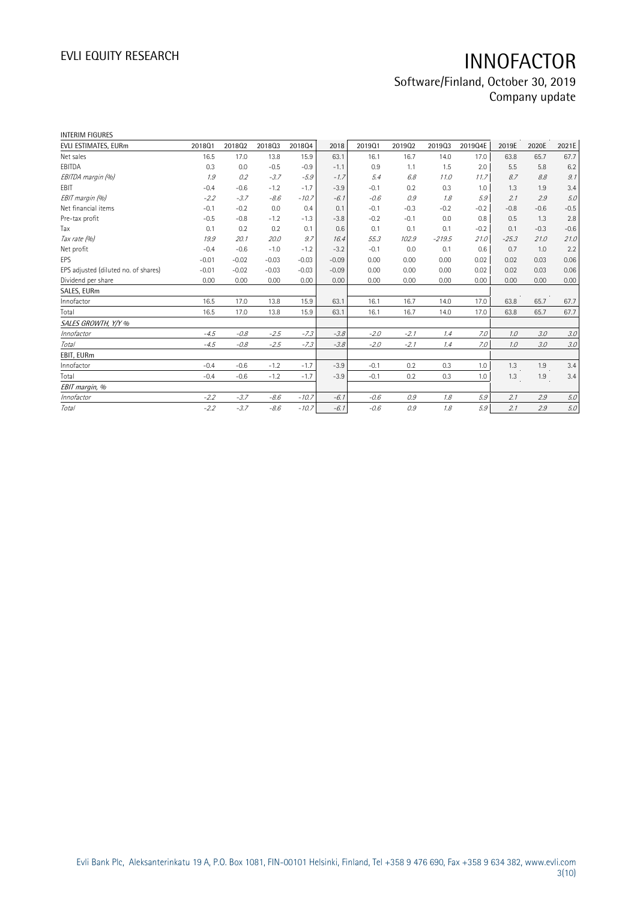## Software/Finland, October 30, 2019 Company update

| <b>INTERIM FIGURES</b>               |         |         |         |         |         |        |        |          |         |         |        |         |
|--------------------------------------|---------|---------|---------|---------|---------|--------|--------|----------|---------|---------|--------|---------|
| EVLI ESTIMATES, EURm                 | 201801  | 201802  | 201803  | 201804  | 2018    | 201901 | 201902 | 201903   | 2019Q4E | 2019E   | 2020E  | 2021E   |
| Net sales                            | 16.5    | 17.0    | 13.8    | 15.9    | 63.1    | 16.1   | 16.7   | 14.0     | 17.0    | 63.8    | 65.7   | 67.7    |
| EBITDA                               | 0.3     | 0.0     | $-0.5$  | $-0.9$  | $-1.1$  | 0.9    | 1.1    | 1.5      | 2.0     | 5.5     | 5.8    | 6.2     |
| EBITDA margin (%)                    | 1.9     | 0.2     | $-3.7$  | $-5.9$  | $-1.7$  | 5.4    | 6.8    | 11.0     | 11.7    | 8.7     | 8.8    | 9.1     |
| <b>EBIT</b>                          | $-0.4$  | $-0.6$  | $-1.2$  | $-1.7$  | $-3.9$  | $-0.1$ | 0.2    | 0.3      | 1.0     | 1.3     | 1.9    | 3.4     |
| EBIT margin (%)                      | $-2.2$  | $-3.7$  | $-8.6$  | $-10.7$ | $-6.1$  | $-0.6$ | 0.9    | 1.8      | 5.9     | 2.1     | 2.9    | 5.0     |
| Net financial items                  | $-0.1$  | $-0.2$  | 0.0     | 0.4     | 0.1     | $-0.1$ | $-0.3$ | $-0.2$   | $-0.2$  | $-0.8$  | $-0.6$ | $-0.5$  |
| Pre-tax profit                       | $-0.5$  | $-0.8$  | $-1.2$  | $-1.3$  | $-3.8$  | $-0.2$ | $-0.1$ | 0.0      | 0.8     | 0.5     | 1.3    | 2.8     |
| Tax                                  | 0.1     | 0.2     | 0.2     | 0.1     | 0.6     | 0.1    | 0.1    | 0.1      | $-0.2$  | 0.1     | $-0.3$ | $-0.6$  |
| Tax rate (%)                         | 19.9    | 20.1    | 20.0    | 9.7     | 16.4    | 55.3   | 102.9  | $-219.5$ | 21.0    | $-25.3$ | 21.0   | 21.0    |
| Net profit                           | $-0.4$  | $-0.6$  | $-1.0$  | $-1.2$  | $-3.2$  | $-0.1$ | 0.0    | 0.1      | 0.6     | 0.7     | 1.0    | 2.2     |
| EPS                                  | $-0.01$ | $-0.02$ | $-0.03$ | $-0.03$ | $-0.09$ | 0.00   | 0.00   | 0.00     | 0.02    | 0.02    | 0.03   | 0.06    |
| EPS adjusted (diluted no. of shares) | $-0.01$ | $-0.02$ | $-0.03$ | $-0.03$ | $-0.09$ | 0.00   | 0.00   | 0.00     | 0.02    | 0.02    | 0.03   | 0.06    |
| Dividend per share                   | 0.00    | 0.00    | 0.00    | 0.00    | 0.00    | 0.00   | 0.00   | 0.00     | 0.00    | 0.00    | 0.00   | 0.00    |
| SALES, EURm                          |         |         |         |         |         |        |        |          |         |         |        |         |
| Innofactor                           | 16.5    | 17.0    | 13.8    | 15.9    | 63.1    | 16.1   | 16.7   | 14.0     | 17.0    | 63.8    | 65.7   | 67.7    |
| Total                                | 16.5    | 17.0    | 13.8    | 15.9    | 63.1    | 16.1   | 16.7   | 14.0     | 17.0    | 63.8    | 65.7   | 67.7    |
| SALES GROWTH, Y/Y %                  |         |         |         |         |         |        |        |          |         |         |        |         |
| Innofactor                           | $-4.5$  | $-0.8$  | $-2.5$  | $-7.3$  | $-3.8$  | $-2.0$ | $-2.1$ | 1.4      | 7.0     | 1.0     | 3.0    | 3.0     |
| <b>Total</b>                         | $-4.5$  | $-0.8$  | $-2.5$  | $-7.3$  | $-3.8$  | $-2.0$ | $-2.1$ | 1.4      | 7.0     | 1.0     | 3.0    | $3.0\,$ |
| EBIT, EURm                           |         |         |         |         |         |        |        |          |         |         |        |         |
| Innofactor                           | $-0.4$  | $-0.6$  | $-1.2$  | $-1.7$  | $-3.9$  | $-0.1$ | 0.2    | 0.3      | 1.0     | 1.3     | 1.9    | 3.4     |
| Total                                | $-0.4$  | $-0.6$  | $-1.2$  | $-1.7$  | $-3.9$  | $-0.1$ | 0.2    | 0.3      | 1.0     | 1.3     | 1.9    | 3.4     |
| EBIT margin, %                       |         |         |         |         |         |        |        |          |         |         |        |         |
| Innofactor                           | $-2.2$  | $-3.7$  | $-8.6$  | $-10.7$ | $-6.1$  | $-0.6$ | 0.9    | 1.8      | 5.9     | 2.1     | 2.9    | 5.0     |
| Total                                | $-2.2$  | $-3.7$  | $-8.6$  | $-10.7$ | $-6.1$  | $-0.6$ | 0.9    | 1.8      | 5.9     | 2.1     | 2.9    | 5.0     |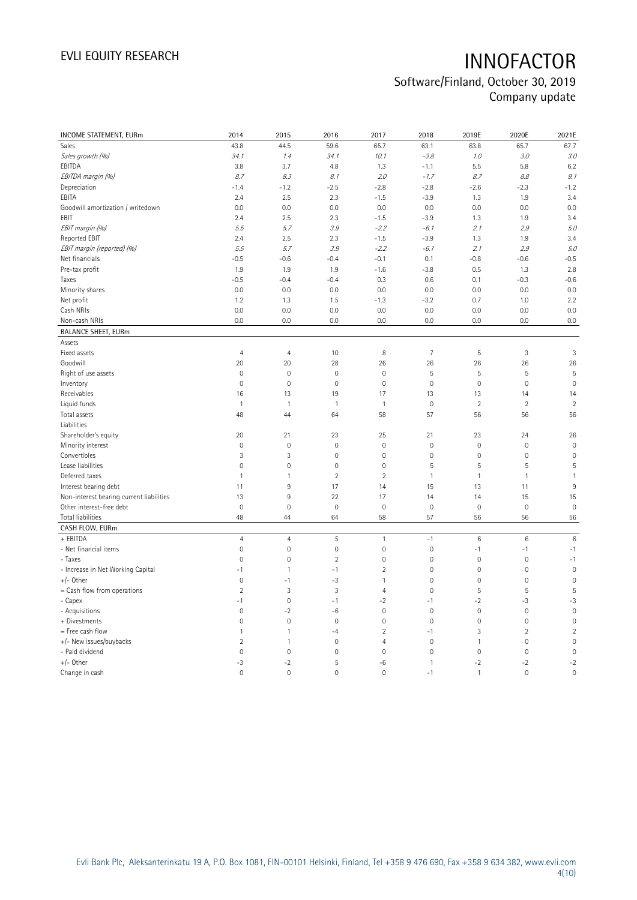## Software/Finland, October 30, 2019 Company update

| INCOME STATEMENT, EURm                   | 2014                | 2015           | 2016                | 2017           | 2018           | 2019E               | 2020E           | 2021E           |
|------------------------------------------|---------------------|----------------|---------------------|----------------|----------------|---------------------|-----------------|-----------------|
| Sales                                    | 43.8                | 44.5           | 59.6                | 65.7           | 63.1           | 63.8                | 65.7            | 67.7            |
| Sales growth (%)                         | 34.1                | 1.4            | 34.1                | 10.1           | $-3.8$         | 1.0                 | 3.0             | 3.0             |
| EBITDA                                   | 3.8                 | 3.7            | 4.8                 | 1.3            | $-1.1$         | 5.5                 | 5.8             | 6.2             |
| EBITDA margin (%)                        | 8.7                 | 8.3            | 8.1                 | 2.0            | $-1.7$         | 8.7                 | 8.8             | 9.1             |
| Depreciation                             | $-1.4$              | $-1.2$         | $-2.5$              | $-2.8$         | $-2.8$         | $-2.6$              | $-2.3$          | $-1.2$          |
| EBITA                                    | 2.4                 | 2.5            | 2.3                 | $-1.5$         | $-3.9$         | 1.3                 | 1.9             | 3.4             |
| Goodwill amortization / writedown        | 0.0                 | 0.0            | 0.0                 | 0.0            | 0.0            | 0.0                 | 0.0             | 0.0             |
| EBIT                                     | 2.4                 | $2.5\,$        | 2.3                 | $-1.5$         | $-3.9$         | 1.3                 | 1.9             | 3.4             |
| EBIT margin (%)                          | 5.5                 | 5.7            | 3.9                 | $-2.2$         | $-6.1$         | 2.1                 | 2.9             | 5.0             |
| Reported EBIT                            | 2.4                 | 2.5            | 2.3                 | $-1.5$         | $-3.9$         | 1.3                 | 1.9             | 3.4             |
| EBIT margin (reported) (%)               | 5.5                 | 5.7            | 3.9                 | $-2.2$         | $-6.1$         | 2.1                 | 2.9             | 5.0             |
| Net financials                           | $-0.5$              | $-0.6$         | $-0.4$              | $-0.1$         | 0.1            | $-0.8$              | $-0.6$          | $-0.5$          |
| Pre-tax profit                           | 1.9                 | 1.9            | 1.9                 | $-1.6$         | $-3.8$         | 0.5                 | 1.3             | 2.8             |
| Taxes                                    | $-0.5$              | $-0.4$         | $-0.4$              | 0.3            | 0.6            | 0.1                 | $-0.3$          | $-0.6$          |
| Minority shares                          | 0.0                 | 0.0            | 0.0                 | 0.0            | 0.0            | 0.0                 | 0.0             | 0.0             |
| Net profit                               | 1.2                 | 1.3            | 1.5                 | $-1.3$         | $-3.2$         | 0.7                 | 1.0             | 2.2             |
| Cash NRIs                                | 0.0                 | 0.0            | 0.0                 | 0.0            | 0.0            | 0.0                 | 0.0             | 0.0             |
| Non-cash NRIs                            | 0.0                 | 0.0            | 0.0                 | 0.0            | 0.0            | 0.0                 | 0.0             | 0.0             |
| <b>BALANCE SHEET, EURm</b>               |                     |                |                     |                |                |                     |                 |                 |
| Assets                                   |                     |                |                     |                |                |                     |                 |                 |
| Fixed assets                             | $\overline{4}$      | $\overline{4}$ | 10                  | 8              | $\overline{7}$ | $\sqrt{5}$          | $\sqrt{3}$      | 3               |
| Goodwill                                 | 20                  | 20             | 28                  | 26             | 26             | 26                  | 26              | 26              |
| Right of use assets                      | $\overline{0}$      | $\mathbf 0$    | $\mathbf{0}$        | $\mathbf 0$    | 5              | 5                   | 5               | 5               |
| Inventory                                | $\mathsf 0$         | $\mathbf 0$    | $\mathbf 0$         | $\mathbf 0$    | $\mathbf 0$    | $\mathsf{O}\xspace$ | $\mathbf 0$     | $\mathbf 0$     |
| Receivables                              | 16                  | 13             | 19                  | 17             | 13             | 13                  | 14              | 14              |
| Liquid funds                             | $\mathbf{1}$        | $\mathbf{1}$   | $\mathbf{1}$        | $\mathbf{1}$   | $\mathbf 0$    | $\overline{2}$      | $\overline{2}$  | $\overline{2}$  |
| Total assets                             | 48                  | 44             | 64                  | 58             | 57             | 56                  | 56              | 56              |
| Liabilities                              |                     |                |                     |                |                |                     |                 |                 |
| Shareholder's equity                     | 20                  | 21             | 23                  | 25             | 21             | 23                  | 24              | 26              |
| Minority interest                        | $\mathsf{O}\xspace$ | $\mathbf 0$    | $\mathsf{O}\xspace$ | $\mathbf 0$    | $\mathbf 0$    | $\mathsf{O}\xspace$ | $\mathbf 0$     | $\mathbf 0$     |
| Convertibles                             | 3                   | $\sqrt{3}$     | $\mathbb O$         | $\mathbf 0$    | $\mathbf 0$    | $\mathsf{O}\xspace$ | $\mathbf 0$     | $\mathbf 0$     |
| Lease liabilities                        | $\overline{0}$      | $\mathbf 0$    | $\mathbf{0}$        | $\mathbf 0$    | 5              | 5                   | 5               | 5               |
| Deferred taxes                           | $\mathbf{1}$        | $\mathbf{1}$   | $\overline{2}$      | $\overline{2}$ | $\mathbf{1}$   | $\mathbf{1}$        | $\mathbf{1}$    | $\mathbf{1}$    |
| Interest bearing debt                    | 11                  | $9\,$          | 17                  | 14             | 15             | 13                  | 11              | 9               |
| Non-interest bearing current liabilities | 13                  | $9\,$          | 22                  | 17             | 14             | 14                  | 15              | 15              |
| Other interest-free debt                 | 0                   | $\mathbf 0$    | $\mathbf 0$         | $\mathbb O$    | $\mathbf 0$    | $\mathsf{O}\xspace$ | $\bf 0$         | $\mathbf 0$     |
| Total liabilities                        | 48                  | 44             | 64                  | 58             | 57             | 56                  | 56              | 56              |
| CASH FLOW, EURm                          |                     |                |                     |                |                |                     |                 |                 |
| + EBITDA                                 | $\overline{4}$      | $\overline{4}$ | 5                   | $\mathbf{1}$   | $-1$           | $6\,$               | $6\phantom{1}6$ | $6\phantom{1}6$ |
| - Net financial items                    | $\mathsf{O}\xspace$ | $\mathbf 0$    | $\mathsf{O}\xspace$ | $\mathbf 0$    | $\mathbf 0$    | $-1$                | $-1$            | $-1$            |
| - Taxes                                  | $\overline{0}$      | $\mathbf{0}$   | $\overline{2}$      | $\mathbf{0}$   | $\mathbf{0}$   | $\mathbf 0$         | $\mathbf 0$     | $-1$            |
| - Increase in Net Working Capital        | $-1$                | $\mathbf{1}$   | $-1$                | $\overline{2}$ | $\mathbf 0$    | $\mathsf{O}\xspace$ | $\mathbf 0$     | $\mathbf 0$     |
| $+/-$ Other                              | $\mathbf 0$         | $-1$           | $-3$                | $\mathbf{1}$   | $\mathbf 0$    | $\mathsf{O}\xspace$ | $\mathbf{0}$    | $\mathbf 0$     |
| = Cash flow from operations              | $\sqrt{2}$          | $\mathsf 3$    | 3                   | $\overline{4}$ | $\mathbf 0$    | $\sqrt{5}$          | $\mathsf S$     | 5               |
| - Capex                                  | $-1$                | $\mathbf 0$    | $-1$                | $-2$           | $-1$           | $-2$                | $-3$            | $-3$            |
| - Acquisitions                           | $\mathsf{O}\xspace$ | $-2$           | $-6$                | $\mathbf 0$    | $\mathbf 0$    | $\mathsf{O}\xspace$ | $\mathbf 0$     | $\mathbf 0$     |
| + Divestments                            | $\mathsf{O}\xspace$ | $\mathbf 0$    | $\mathbf 0$         | $\mathbf 0$    | $\mathbf 0$    | $\mathsf{O}\xspace$ | $\mathbf 0$     | $\mathbf 0$     |
| = Free cash flow                         | 1                   | $\mathbf{1}$   | $-4$                | $\overline{2}$ | $-1$           | $\mathfrak{Z}$      | $\overline{2}$  | $\overline{2}$  |
| +/- New issues/buybacks                  | $\overline{2}$      | $\mathbf{1}$   | $\mathbf 0$         | $\overline{4}$ | $\mathbf 0$    | $\mathbf{1}$        | $\mathbf 0$     | $\mathbf 0$     |
| - Paid dividend                          | $\overline{0}$      | $\mathbf 0$    | $\overline{0}$      | $\mathbf 0$    | $\mathbf 0$    | $\mathsf{O}\xspace$ | $\mathbf{0}$    | $\mathbf 0$     |
| $+/-$ Other                              | $-3$                | $-2$           | 5                   | -6             | $\mathbf{1}$   | $-2$                | $-2$            | $-2$            |
| Change in cash                           | $\Omega$            | $\mathbf 0$    | $\Omega$            | $\Omega$       | $-1$           | $\mathbf{1}$        | $\mathbf{0}$    | $\mathbf 0$     |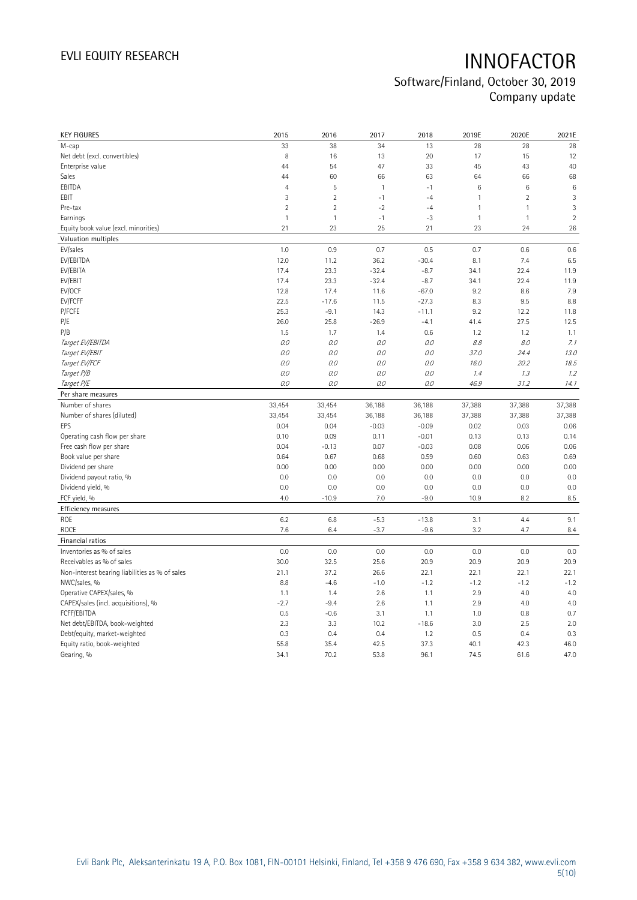## Software/Finland, October 30, 2019 Company update

| <b>KEY FIGURES</b>                             | 2015           | 2016           | 2017         | 2018         | 2019E           | 2020E          | 2021E           |
|------------------------------------------------|----------------|----------------|--------------|--------------|-----------------|----------------|-----------------|
| M-cap                                          | 33             | 38             | 34           | 13           | 28              | 28             | 28              |
| Net debt (excl. convertibles)                  | 8              | 16             | 13           | 20           | 17              | 15             | 12              |
| Enterprise value                               | 44             | 54             | 47           | 33           | 45              | 43             | 40              |
| Sales                                          | 44             | 60             | 66           | 63           | 64              | 66             | 68              |
| EBITDA                                         | $\overline{4}$ | 5              | $\mathbf{1}$ | $-1$         | $6\phantom{1}6$ | 6              | $6\phantom{1}6$ |
| EBIT                                           | 3              | $\overline{2}$ | $-1$         | $-4$         | $\mathbf{1}$    | $\overline{2}$ | 3               |
| Pre-tax                                        | $\overline{2}$ | $\overline{2}$ | $-2$         | $-4$         | $\mathbf{1}$    | $\mathbf{1}$   | 3               |
| Earnings                                       | $\mathbf{1}$   | $\mathbf{1}$   | $-1$         | $-3$         | $\mathbf{1}$    | $\mathbf{1}$   | $\overline{c}$  |
| Equity book value (excl. minorities)           | 21             | 23             | 25           | 21           | 23              | 24             | 26              |
| Valuation multiples                            |                |                |              |              |                 |                |                 |
| EV/sales                                       | 1.0            | 0.9            | 0.7          | 0.5          | 0.7             | 0.6            | 0.6             |
| EV/EBITDA                                      | 12.0           | 11.2           | 36.2         | $-30.4$      | 8.1             | 7.4            | 6.5             |
| EV/EBITA                                       | 17.4           | 23.3           | $-32.4$      | $-8.7$       | 34.1            | 22.4           | 11.9            |
| EV/EBIT                                        | 17.4           | 23.3           | $-32.4$      | $-8.7$       | 34.1            | 22.4           | 11.9            |
| EV/OCF                                         | 12.8           | 17.4           | 11.6         | $-67.0$      | 9.2             | 8.6            | 7.9             |
| EV/FCFF                                        | 22.5           | $-17.6$        | 11.5         | $-27.3$      | 8.3             | 9.5            | 8.8             |
| P/FCFE                                         | 25.3           | $-9.1$         | 14.3         | $-11.1$      | 9.2             | 12.2           | 11.8            |
| P/E                                            | 26.0           | 25.8           | $-26.9$      | $-4.1$       | 41.4            | 27.5           | 12.5            |
| P/B                                            | 1.5            | 1.7            | 1.4          | 0.6          | 1.2             | 1.2            | 1.1             |
| Target EV/EBITDA                               | 0.0            | 0.0            | 0.0          | 0.0          | 8.8             | 8.0            | 7.1             |
| Target EV/EBIT                                 | 0.0            | 0.0            | 0.0          | 0.0          | 37.0            | 24.4           | 13.0            |
| Target EV/FCF                                  | 0.0            | 0.0            | 0.0          | 0.0          | 16.0            | 20.2           | 18.5            |
| Target P/B                                     | O.O            | 0.0            | 0.0          | 0.0          | 1.4             | 1.3            | 1.2             |
| Target P/E                                     | O.O            | 0.0            | 0.0          | 0.0          | 46.9            | 31.2           | 14.1            |
| Per share measures                             |                |                |              |              |                 |                |                 |
|                                                |                |                |              |              |                 |                |                 |
|                                                |                |                |              |              |                 |                |                 |
| Number of shares                               | 33,454         | 33,454         | 36,188       | 36,188       | 37,388          | 37,388         | 37,388          |
| Number of shares (diluted)                     | 33,454         | 33,454         | 36,188       | 36,188       | 37,388          | 37,388         | 37,388          |
| EPS                                            | 0.04           | 0.04           | $-0.03$      | $-0.09$      | 0.02            | 0.03           | 0.06            |
| Operating cash flow per share                  | 0.10           | 0.09           | 0.11         | $-0.01$      | 0.13            | 0.13           | 0.14            |
| Free cash flow per share                       | 0.04           | $-0.13$        | 0.07         | $-0.03$      | 0.08            | 0.06           | 0.06            |
| Book value per share                           | 0.64           | 0.67           | 0.68         | 0.59         | 0.60            | 0.63           | 0.69            |
| Dividend per share                             | 0.00<br>0.0    | 0.00<br>0.0    | 0.00<br>0.0  | 0.00         | 0.00<br>0.0     | 0.00<br>0.0    | 0.00            |
| Dividend payout ratio, %                       | 0.0            | 0.0            | 0.0          | 0.0<br>0.0   | 0.0             | 0.0            | 0.0<br>0.0      |
| Dividend yield, %                              | 4.0            |                |              | $-9.0$       |                 |                |                 |
| FCF yield, %                                   |                | $-10.9$        | 7.0          |              | 10.9            | 8.2            | $8.5\,$         |
| Efficiency measures                            |                |                |              |              |                 |                |                 |
| <b>ROE</b>                                     | 6.2            | 6.8            | $-5.3$       | $-13.8$      | 3.1             | 4.4            | 9.1             |
| <b>ROCE</b>                                    | 7.6            | 6.4            | $-3.7$       | $-9.6$       | 3.2             | 4.7            | 8.4             |
| Financial ratios                               |                |                |              |              |                 |                |                 |
| Inventories as % of sales                      | 0.0            | 0.0            | 0.0          | 0.0          | 0.0             | 0.0            | 0.0             |
| Receivables as % of sales                      | 30.0           | 32.5           | 25.6         | 20.9         | 20.9            | 20.9           | 20.9            |
| Non-interest bearing liabilities as % of sales | 21.1           | 37.2           | 26.6         | 22.1         | 22.1            | 22.1           | 22.1            |
| NWC/sales, %                                   | 8.8            | $-4.6$         | $-1.0$       | $-1.2$       | $-1.2$          | $-1.2$         | $-1.2$          |
| Operative CAPEX/sales, %                       | 1.1            | 1.4            | 2.6          | 1.1          | 2.9             | 4.0            | 4.0             |
| CAPEX/sales (incl. acquisitions), %            | $-2.7$         | $-9.4$         | 2.6          | 1.1          | 2.9             | 4.0            | 4.0             |
| FCFF/EBITDA                                    | 0.5            | $-0.6$         | 3.1          | 1.1          | 1.0             | 0.8            | 0.7             |
| Net debt/EBITDA, book-weighted                 | 2.3            | 3.3            | 10.2         | $-18.6$      | 3.0             | 2.5            | 2.0             |
| Debt/equity, market-weighted                   | 0.3            | 0.4            | 0.4          | 1.2          | 0.5             | 0.4            | 0.3             |
| Equity ratio, book-weighted<br>Gearing, %      | 55.8<br>34.1   | 35.4<br>70.2   | 42.5<br>53.8 | 37.3<br>96.1 | 40.1<br>74.5    | 42.3<br>61.6   | 46.0<br>47.0    |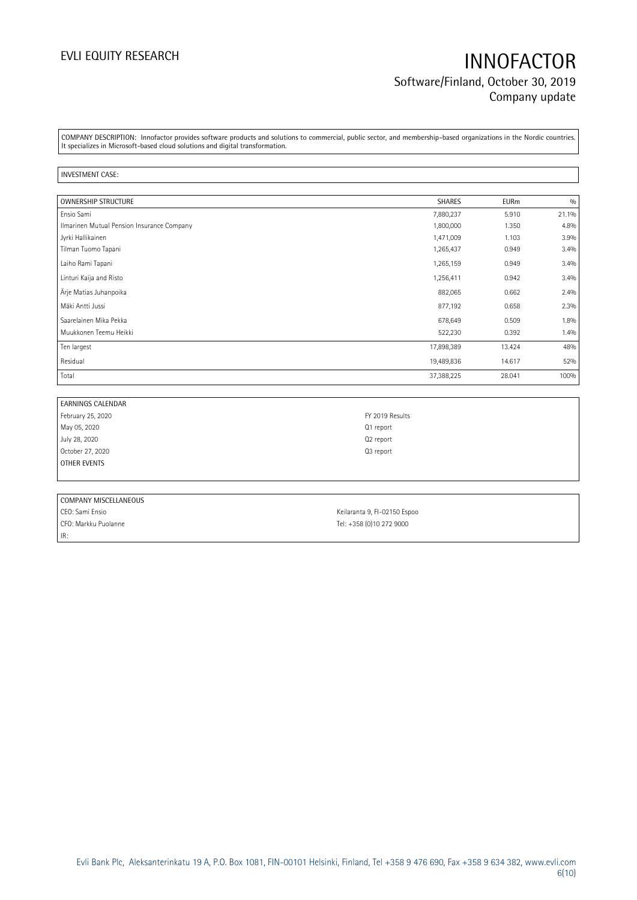## EVLI EQUITY RESEARCH **INNOFACTOR** Software/Finland, October 30, 2019 Company update

COMPANY DESCRIPTION: Innofactor provides software products and solutions to commercial, public sector, and membership-based organizations in the Nordic countries. It specializes in Microsoft-based cloud solutions and digital transformation.

### INVESTMENT CASE:

| <b>OWNERSHIP STRUCTURE</b>                 | <b>SHARES</b> | <b>EURm</b> | 0/0   |
|--------------------------------------------|---------------|-------------|-------|
| Ensio Sami                                 | 7,880,237     | 5.910       | 21.1% |
| Ilmarinen Mutual Pension Insurance Company | 1,800,000     | 1.350       | 4.8%  |
| Jyrki Hallikainen                          | 1,471,009     | 1.103       | 3.9%  |
| Tilman Tuomo Tapani                        | 1,265,437     | 0.949       | 3.4%  |
| Laiho Rami Tapani                          | 1,265,159     | 0.949       | 3.4%  |
| Linturi Kaija and Risto                    | 1,256,411     | 0.942       | 3.4%  |
| Arje Matias Juhanpoika                     | 882,065       | 0.662       | 2.4%  |
| Mäki Antti Jussi                           | 877,192       | 0.658       | 2.3%  |
| Saarelainen Mika Pekka                     | 678,649       | 0.509       | 1.8%  |
| Muukkonen Teemu Heikki                     | 522,230       | 0.392       | 1.4%  |
| Ten largest                                | 17,898,389    | 13.424      | 48%   |
| Residual                                   | 19,489,836    | 14.617      | 52%   |
| Total                                      | 37,388,225    | 28.041      | 100%  |

| EARNINGS CALENDAR |                       |
|-------------------|-----------------------|
| February 25, 2020 | FY 2019 Results       |
| May 05, 2020      | Q1 report             |
| July 28, 2020     | Q <sub>2</sub> report |
| October 27, 2020  | Q3 report             |
| OTHER EVENTS      |                       |
|                   |                       |

| COMPANY MISCELLANEOUS |                              |
|-----------------------|------------------------------|
| CEO: Sami Ensio       | Keilaranta 9, FI-02150 Espoo |
| CFO: Markku Puolanne  | Tel: +358 (0)10 272 9000     |
| IR:                   |                              |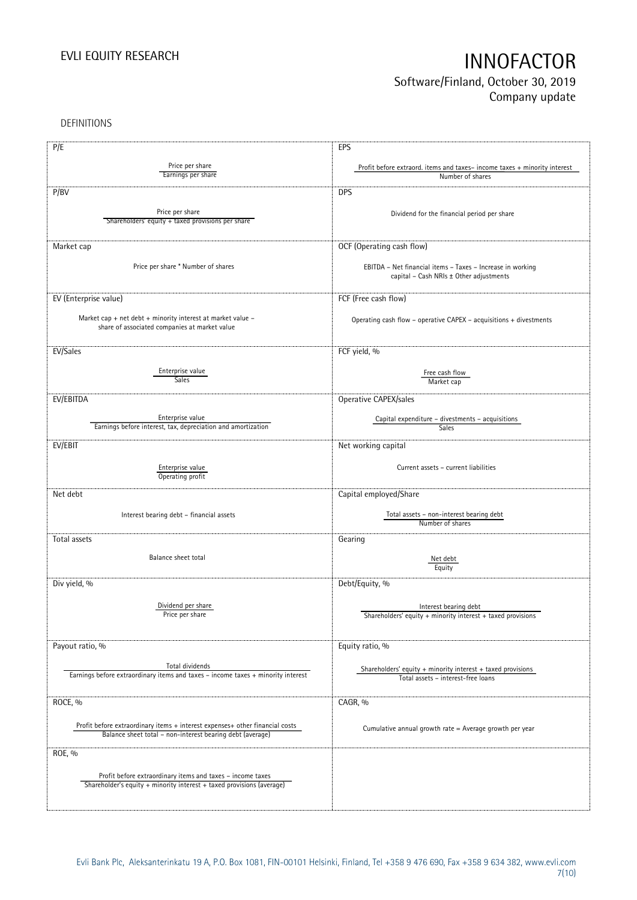## Software/Finland, October 30, 2019 Company update

DEFINITIONS

| P/E                                                                              | <b>EPS</b>                                                                                            |
|----------------------------------------------------------------------------------|-------------------------------------------------------------------------------------------------------|
|                                                                                  |                                                                                                       |
| Price per share<br>Earnings per share                                            | Profit before extraord. items and taxes-income taxes + minority interest                              |
|                                                                                  | Number of shares                                                                                      |
| P/BV                                                                             | <b>DPS</b>                                                                                            |
|                                                                                  |                                                                                                       |
| Price per share                                                                  | Dividend for the financial period per share                                                           |
| Shareholders' equity + taxed provisions per share                                |                                                                                                       |
|                                                                                  |                                                                                                       |
| Market cap                                                                       | OCF (Operating cash flow)                                                                             |
|                                                                                  |                                                                                                       |
| Price per share * Number of shares                                               | EBITDA - Net financial items - Taxes - Increase in working                                            |
|                                                                                  | capital - Cash NRIs ± Other adjustments                                                               |
|                                                                                  |                                                                                                       |
| EV (Enterprise value)                                                            | FCF (Free cash flow)                                                                                  |
|                                                                                  |                                                                                                       |
| Market cap + net debt + minority interest at market value -                      | Operating cash flow - operative CAPEX - acquisitions + divestments                                    |
| share of associated companies at market value                                    |                                                                                                       |
|                                                                                  |                                                                                                       |
| EV/Sales                                                                         | FCF yield, %                                                                                          |
|                                                                                  |                                                                                                       |
| Enterprise value                                                                 | Free cash flow                                                                                        |
| <b>Sales</b>                                                                     | Market cap                                                                                            |
| EV/EBITDA                                                                        | Operative CAPEX/sales                                                                                 |
|                                                                                  |                                                                                                       |
| Enterprise value                                                                 | Capital expenditure - divestments - acquisitions                                                      |
| Earnings before interest, tax, depreciation and amortization                     | Sales                                                                                                 |
|                                                                                  |                                                                                                       |
| EV/EBIT                                                                          | Net working capital                                                                                   |
|                                                                                  |                                                                                                       |
| Enterprise value                                                                 | Current assets - current liabilities                                                                  |
| Operating profit                                                                 |                                                                                                       |
| Net debt                                                                         | Capital employed/Share                                                                                |
|                                                                                  |                                                                                                       |
| Interest bearing debt - financial assets                                         | Total assets - non-interest bearing debt                                                              |
|                                                                                  | Number of shares                                                                                      |
| Total assets                                                                     | Gearing                                                                                               |
|                                                                                  |                                                                                                       |
| Balance sheet total                                                              | Net debt                                                                                              |
|                                                                                  | Equity                                                                                                |
| Div yield, %                                                                     |                                                                                                       |
|                                                                                  | Debt/Equity, %                                                                                        |
|                                                                                  |                                                                                                       |
| Dividend per share<br>Price per share                                            | Interest bearing debt                                                                                 |
|                                                                                  | Shareholders' equity $+$ minority interest $+$ taxed provisions                                       |
|                                                                                  |                                                                                                       |
| Payout ratio, %                                                                  | Equity ratio, %                                                                                       |
|                                                                                  |                                                                                                       |
| Total dividends                                                                  |                                                                                                       |
| Earnings before extraordinary items and taxes - income taxes + minority interest | Shareholders' equity $+$ minority interest $+$ taxed provisions<br>Total assets - interest-free loans |
|                                                                                  |                                                                                                       |
| ROCE, %                                                                          | CAGR, %                                                                                               |
|                                                                                  |                                                                                                       |
|                                                                                  |                                                                                                       |
| Profit before extraordinary items + interest expenses+ other financial costs     | Cumulative annual growth rate = Average growth per year                                               |
| Balance sheet total - non-interest bearing debt (average)                        |                                                                                                       |
| ROE, %                                                                           |                                                                                                       |
|                                                                                  |                                                                                                       |
| Profit before extraordinary items and taxes - income taxes                       |                                                                                                       |
| Shareholder's equity + minority interest + taxed provisions (average)            |                                                                                                       |
|                                                                                  |                                                                                                       |
|                                                                                  |                                                                                                       |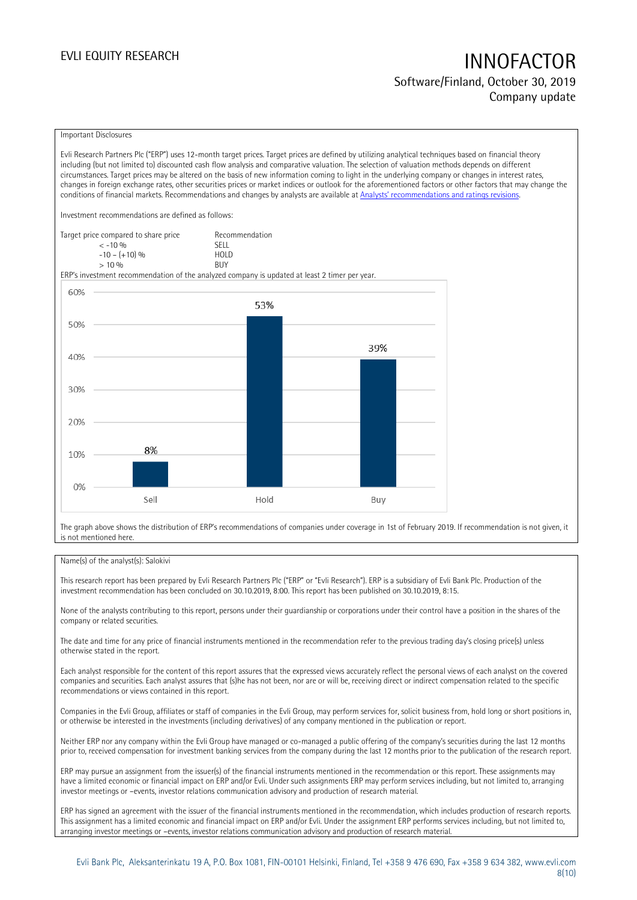## EVLI EQUITY RESEARCH **INNOFACTOR** Software/Finland, October 30, 2019 Company update

### Important Disclosures

Evli Research Partners Plc ("ERP") uses 12-month target prices. Target prices are defined by utilizing analytical techniques based on financial theory including (but not limited to) discounted cash flow analysis and comparative valuation. The selection of valuation methods depends on different circumstances. Target prices may be altered on the basis of new information coming to light in the underlying company or changes in interest rates, changes in foreign exchange rates, other securities prices or market indices or outlook for the aforementioned factors or other factors that may change the conditions of financial markets. Recommendations and changes by analysts are available at [Analysts' recommendations and ratings revisions](https://research.evli.com/JasperAllModels.action?authParam=key;461&authParam=x;G3rNagWrtf7K&authType=3).

Investment recommendations are defined as follows:

| Target price compared to share price | Recommendation |
|--------------------------------------|----------------|
| $<-10.96$                            | <b>SFII</b>    |
| $-10 - (+10)$ %                      | HOI D          |
| > 10%                                | <b>BUY</b>     |

ERP's investment recommendation of the analyzed company is updated at least 2 timer per year.



The graph above shows the distribution of ERP's recommendations of companies under coverage in 1st of February 2019. If recommendation is not given, it is not mentioned here.

### Name(s) of the analyst(s): Salokivi

This research report has been prepared by Evli Research Partners Plc ("ERP" or "Evli Research"). ERP is a subsidiary of Evli Bank Plc. Production of the investment recommendation has been concluded on 30.10.2019, 8:00. This report has been published on 30.10.2019, 8:15.

None of the analysts contributing to this report, persons under their guardianship or corporations under their control have a position in the shares of the company or related securities.

The date and time for any price of financial instruments mentioned in the recommendation refer to the previous trading day's closing price(s) unless otherwise stated in the report.

Each analyst responsible for the content of this report assures that the expressed views accurately reflect the personal views of each analyst on the covered companies and securities. Each analyst assures that (s)he has not been, nor are or will be, receiving direct or indirect compensation related to the specific recommendations or views contained in this report.

Companies in the Evli Group, affiliates or staff of companies in the Evli Group, may perform services for, solicit business from, hold long or short positions in, or otherwise be interested in the investments (including derivatives) of any company mentioned in the publication or report.

Neither ERP nor any company within the Evli Group have managed or co-managed a public offering of the company's securities during the last 12 months prior to, received compensation for investment banking services from the company during the last 12 months prior to the publication of the research report.

ERP may pursue an assignment from the issuer(s) of the financial instruments mentioned in the recommendation or this report. These assignments may have a limited economic or financial impact on ERP and/or Evli. Under such assignments ERP may perform services including, but not limited to, arranging investor meetings or –events, investor relations communication advisory and production of research material.

ERP has signed an agreement with the issuer of the financial instruments mentioned in the recommendation, which includes production of research reports. This assignment has a limited economic and financial impact on ERP and/or Evli. Under the assignment ERP performs services including, but not limited to, arranging investor meetings or –events, investor relations communication advisory and production of research material.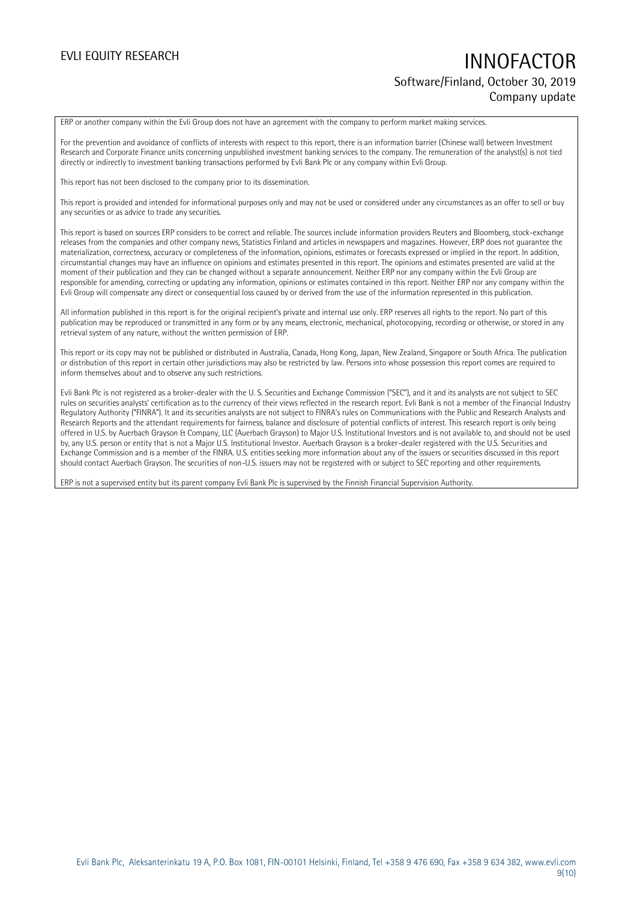## EVLI EQUITY RESEARCH **INNOFACTOR** Software/Finland, October 30, 2019 Company update

ERP or another company within the Evli Group does not have an agreement with the company to perform market making services.

For the prevention and avoidance of conflicts of interests with respect to this report, there is an information barrier (Chinese wall) between Investment Research and Corporate Finance units concerning unpublished investment banking services to the company. The remuneration of the analyst(s) is not tied directly or indirectly to investment banking transactions performed by Evli Bank Plc or any company within Evli Group.

This report has not been disclosed to the company prior to its dissemination.

This report is provided and intended for informational purposes only and may not be used or considered under any circumstances as an offer to sell or buy any securities or as advice to trade any securities.

This report is based on sources ERP considers to be correct and reliable. The sources include information providers Reuters and Bloomberg, stock-exchange releases from the companies and other company news, Statistics Finland and articles in newspapers and magazines. However, ERP does not guarantee the materialization, correctness, accuracy or completeness of the information, opinions, estimates or forecasts expressed or implied in the report. In addition, circumstantial changes may have an influence on opinions and estimates presented in this report. The opinions and estimates presented are valid at the moment of their publication and they can be changed without a separate announcement. Neither ERP nor any company within the Evli Group are responsible for amending, correcting or updating any information, opinions or estimates contained in this report. Neither ERP nor any company within the Evli Group will compensate any direct or consequential loss caused by or derived from the use of the information represented in this publication.

All information published in this report is for the original recipient's private and internal use only. ERP reserves all rights to the report. No part of this publication may be reproduced or transmitted in any form or by any means, electronic, mechanical, photocopying, recording or otherwise, or stored in any retrieval system of any nature, without the written permission of ERP.

This report or its copy may not be published or distributed in Australia, Canada, Hong Kong, Japan, New Zealand, Singapore or South Africa. The publication or distribution of this report in certain other jurisdictions may also be restricted by law. Persons into whose possession this report comes are required to inform themselves about and to observe any such restrictions.

Evli Bank Plc is not registered as a broker-dealer with the U. S. Securities and Exchange Commission ("SEC"), and it and its analysts are not subject to SEC rules on securities analysts' certification as to the currency of their views reflected in the research report. Evli Bank is not a member of the Financial Industry Regulatory Authority ("FINRA"). It and its securities analysts are not subject to FINRA's rules on Communications with the Public and Research Analysts and Research Reports and the attendant requirements for fairness, balance and disclosure of potential conflicts of interest. This research report is only being offered in U.S. by Auerbach Grayson & Company, LLC (Auerbach Grayson) to Major U.S. Institutional Investors and is not available to, and should not be used by, any U.S. person or entity that is not a Major U.S. Institutional Investor. Auerbach Grayson is a broker-dealer registered with the U.S. Securities and Exchange Commission and is a member of the FINRA. U.S. entities seeking more information about any of the issuers or securities discussed in this report should contact Auerbach Grayson. The securities of non-U.S. issuers may not be registered with or subject to SEC reporting and other requirements.

ERP is not a supervised entity but its parent company Evli Bank Plc is supervised by the Finnish Financial Supervision Authority.